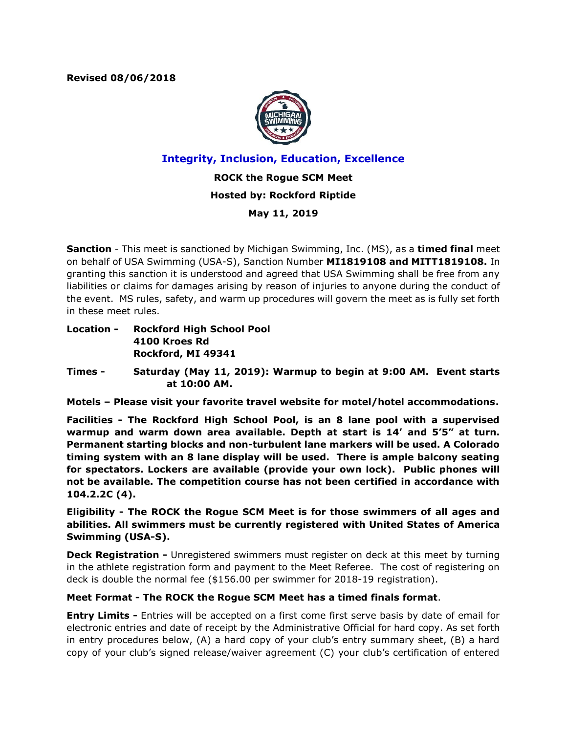**Revised 08/06/2018**



**Integrity, Inclusion, Education, Excellence**

**ROCK the Rogue SCM Meet Hosted by: Rockford Riptide**

**May 11, 2019**

**Sanction** - This meet is sanctioned by Michigan Swimming, Inc. (MS), as a **timed final** meet on behalf of USA Swimming (USA-S), Sanction Number **MI1819108 and MITT1819108.** In granting this sanction it is understood and agreed that USA Swimming shall be free from any liabilities or claims for damages arising by reason of injuries to anyone during the conduct of the event. MS rules, safety, and warm up procedures will govern the meet as is fully set forth in these meet rules.

**Location - Rockford High School Pool 4100 Kroes Rd Rockford, MI 49341**

**Times - Saturday (May 11, 2019): Warmup to begin at 9:00 AM. Event starts at 10:00 AM.**

**Motels – Please visit your favorite travel website for motel/hotel accommodations.**

**Facilities - The Rockford High School Pool, is an 8 lane pool with a supervised warmup and warm down area available. Depth at start is 14' and 5'5" at turn. Permanent starting blocks and non-turbulent lane markers will be used. A Colorado timing system with an 8 lane display will be used. There is ample balcony seating for spectators. Lockers are available (provide your own lock). Public phones will not be available. The competition course has not been certified in accordance with 104.2.2C (4).**

**Eligibility - The ROCK the Rogue SCM Meet is for those swimmers of all ages and abilities. All swimmers must be currently registered with United States of America Swimming (USA-S).**

**Deck Registration -** Unregistered swimmers must register on deck at this meet by turning in the athlete registration form and payment to the Meet Referee. The cost of registering on deck is double the normal fee (\$156.00 per swimmer for 2018-19 registration).

## **Meet Format - The ROCK the Rogue SCM Meet has a timed finals format**.

**Entry Limits -** Entries will be accepted on a first come first serve basis by date of email for electronic entries and date of receipt by the Administrative Official for hard copy. As set forth in entry procedures below, (A) a hard copy of your club's entry summary sheet, (B) a hard copy of your club's signed release/waiver agreement (C) your club's certification of entered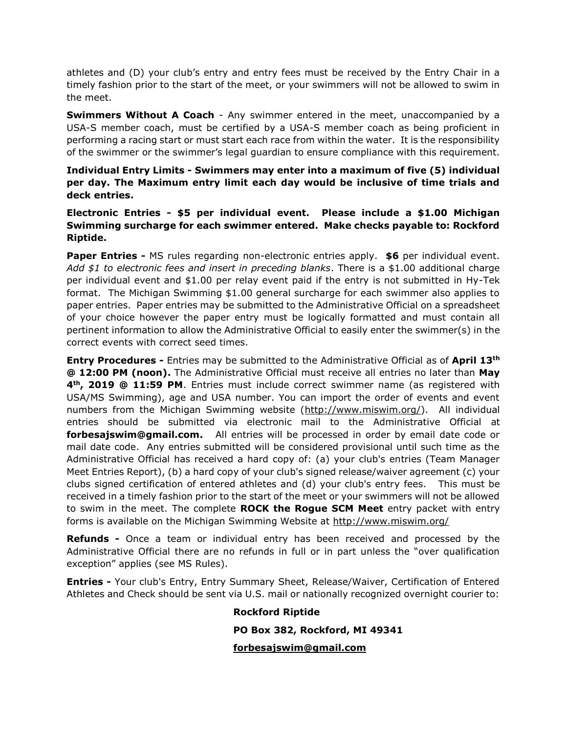athletes and (D) your club's entry and entry fees must be received by the Entry Chair in a timely fashion prior to the start of the meet, or your swimmers will not be allowed to swim in the meet.

**Swimmers Without A Coach** - Any swimmer entered in the meet, unaccompanied by a USA-S member coach, must be certified by a USA-S member coach as being proficient in performing a racing start or must start each race from within the water. It is the responsibility of the swimmer or the swimmer's legal guardian to ensure compliance with this requirement.

**Individual Entry Limits - Swimmers may enter into a maximum of five (5) individual per day. The Maximum entry limit each day would be inclusive of time trials and deck entries.**

**Electronic Entries - \$5 per individual event. Please include a \$1.00 Michigan Swimming surcharge for each swimmer entered. Make checks payable to: Rockford Riptide.**

**Paper Entries -** MS rules regarding non-electronic entries apply. **\$6** per individual event. *Add \$1 to electronic fees and insert in preceding blanks*. There is a \$1.00 additional charge per individual event and \$1.00 per relay event paid if the entry is not submitted in Hy-Tek format. The Michigan Swimming \$1.00 general surcharge for each swimmer also applies to paper entries. Paper entries may be submitted to the Administrative Official on a spreadsheet of your choice however the paper entry must be logically formatted and must contain all pertinent information to allow the Administrative Official to easily enter the swimmer(s) in the correct events with correct seed times.

**Entry Procedures -** Entries may be submitted to the Administrative Official as of **April 13th @ 12:00 PM (noon).** The Administrative Official must receive all entries no later than **May 4th, 2019 @ 11:59 PM**. Entries must include correct swimmer name (as registered with USA/MS Swimming), age and USA number. You can import the order of events and event numbers from the Michigan Swimming website [\(http://www.miswim.org/\)](http://www.miswim.org/). All individual entries should be submitted via electronic mail to the Administrative Official at **forbesajswim@gmail.com.** All entries will be processed in order by email date code or mail date code. Any entries submitted will be considered provisional until such time as the Administrative Official has received a hard copy of: (a) your club's entries (Team Manager Meet Entries Report), (b) a hard copy of your club's signed release/waiver agreement (c) your clubs signed certification of entered athletes and (d) your club's entry fees. This must be received in a timely fashion prior to the start of the meet or your swimmers will not be allowed to swim in the meet. The complete **ROCK the Rogue SCM Meet** entry packet with entry forms is available on the Michigan Swimming Website at <http://www.miswim.org/>

**Refunds -** Once a team or individual entry has been received and processed by the Administrative Official there are no refunds in full or in part unless the "over qualification exception" applies (see MS Rules).

**Entries -** Your club's Entry, Entry Summary Sheet, Release/Waiver, Certification of Entered Athletes and Check should be sent via U.S. mail or nationally recognized overnight courier to:

> **Rockford Riptide PO Box 382, Rockford, MI 49341 [forbesajswim@gmail.com](mailto:forbesajswim@gmail.com)**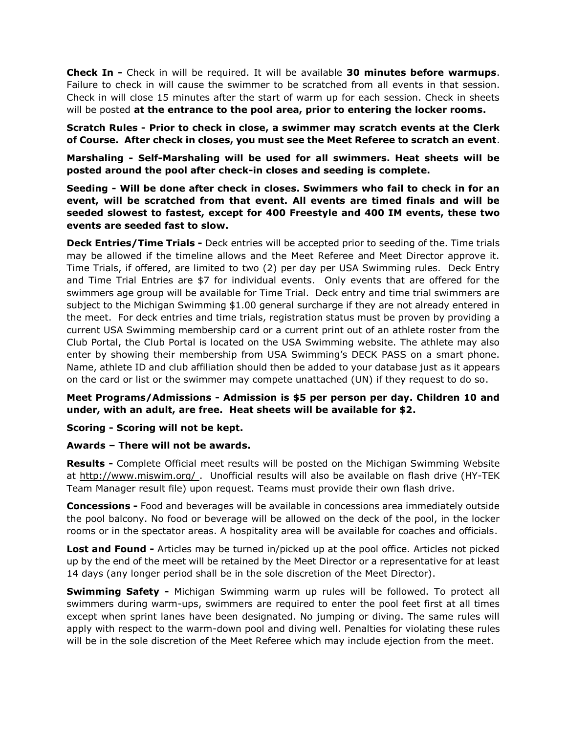**Check In -** Check in will be required. It will be available **30 minutes before warmups**. Failure to check in will cause the swimmer to be scratched from all events in that session. Check in will close 15 minutes after the start of warm up for each session. Check in sheets will be posted **at the entrance to the pool area, prior to entering the locker rooms.**

**Scratch Rules - Prior to check in close, a swimmer may scratch events at the Clerk of Course. After check in closes, you must see the Meet Referee to scratch an event**.

**Marshaling - Self-Marshaling will be used for all swimmers. Heat sheets will be posted around the pool after check-in closes and seeding is complete.**

**Seeding - Will be done after check in closes. Swimmers who fail to check in for an event, will be scratched from that event. All events are timed finals and will be seeded slowest to fastest, except for 400 Freestyle and 400 IM events, these two events are seeded fast to slow.**

**Deck Entries/Time Trials -** Deck entries will be accepted prior to seeding of the. Time trials may be allowed if the timeline allows and the Meet Referee and Meet Director approve it. Time Trials, if offered, are limited to two (2) per day per USA Swimming rules. Deck Entry and Time Trial Entries are \$7 for individual events. Only events that are offered for the swimmers age group will be available for Time Trial. Deck entry and time trial swimmers are subject to the Michigan Swimming \$1.00 general surcharge if they are not already entered in the meet. For deck entries and time trials, registration status must be proven by providing a current USA Swimming membership card or a current print out of an athlete roster from the Club Portal, the Club Portal is located on the USA Swimming website. The athlete may also enter by showing their membership from USA Swimming's DECK PASS on a smart phone. Name, athlete ID and club affiliation should then be added to your database just as it appears on the card or list or the swimmer may compete unattached (UN) if they request to do so.

## **Meet Programs/Admissions - Admission is \$5 per person per day. Children 10 and under, with an adult, are free. Heat sheets will be available for \$2.**

### **Scoring - Scoring will not be kept.**

### **Awards – There will not be awards.**

**Results -** Complete Official meet results will be posted on the Michigan Swimming Website at<http://www.miswim.org/> . Unofficial results will also be available on flash drive (HY-TEK Team Manager result file) upon request. Teams must provide their own flash drive.

**Concessions -** Food and beverages will be available in concessions area immediately outside the pool balcony. No food or beverage will be allowed on the deck of the pool, in the locker rooms or in the spectator areas. A hospitality area will be available for coaches and officials.

**Lost and Found -** Articles may be turned in/picked up at the pool office. Articles not picked up by the end of the meet will be retained by the Meet Director or a representative for at least 14 days (any longer period shall be in the sole discretion of the Meet Director).

**Swimming Safety -** Michigan Swimming warm up rules will be followed. To protect all swimmers during warm-ups, swimmers are required to enter the pool feet first at all times except when sprint lanes have been designated. No jumping or diving. The same rules will apply with respect to the warm-down pool and diving well. Penalties for violating these rules will be in the sole discretion of the Meet Referee which may include ejection from the meet.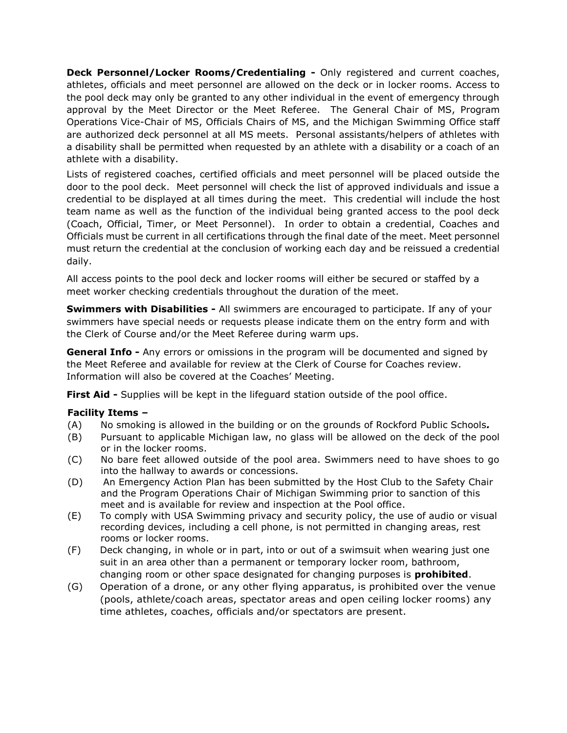**Deck Personnel/Locker Rooms/Credentialing -** Only registered and current coaches, athletes, officials and meet personnel are allowed on the deck or in locker rooms. Access to the pool deck may only be granted to any other individual in the event of emergency through approval by the Meet Director or the Meet Referee. The General Chair of MS, Program Operations Vice-Chair of MS, Officials Chairs of MS, and the Michigan Swimming Office staff are authorized deck personnel at all MS meets. Personal assistants/helpers of athletes with a disability shall be permitted when requested by an athlete with a disability or a coach of an athlete with a disability.

Lists of registered coaches, certified officials and meet personnel will be placed outside the door to the pool deck. Meet personnel will check the list of approved individuals and issue a credential to be displayed at all times during the meet. This credential will include the host team name as well as the function of the individual being granted access to the pool deck (Coach, Official, Timer, or Meet Personnel). In order to obtain a credential, Coaches and Officials must be current in all certifications through the final date of the meet. Meet personnel must return the credential at the conclusion of working each day and be reissued a credential daily.

All access points to the pool deck and locker rooms will either be secured or staffed by a meet worker checking credentials throughout the duration of the meet.

**Swimmers with Disabilities -** All swimmers are encouraged to participate. If any of your swimmers have special needs or requests please indicate them on the entry form and with the Clerk of Course and/or the Meet Referee during warm ups.

**General Info -** Any errors or omissions in the program will be documented and signed by the Meet Referee and available for review at the Clerk of Course for Coaches review. Information will also be covered at the Coaches' Meeting.

**First Aid -** Supplies will be kept in the lifeguard station outside of the pool office.

## **Facility Items –**

- (A) No smoking is allowed in the building or on the grounds of Rockford Public Schools*.*
- (B) Pursuant to applicable Michigan law, no glass will be allowed on the deck of the pool or in the locker rooms.
- (C) No bare feet allowed outside of the pool area. Swimmers need to have shoes to go into the hallway to awards or concessions.
- (D) An Emergency Action Plan has been submitted by the Host Club to the Safety Chair and the Program Operations Chair of Michigan Swimming prior to sanction of this meet and is available for review and inspection at the Pool office.
- (E) To comply with USA Swimming privacy and security policy, the use of audio or visual recording devices, including a cell phone, is not permitted in changing areas, rest rooms or locker rooms.
- (F) Deck changing, in whole or in part, into or out of a swimsuit when wearing just one suit in an area other than a permanent or temporary locker room, bathroom, changing room or other space designated for changing purposes is **prohibited**.
- (G) Operation of a drone, or any other flying apparatus, is prohibited over the venue (pools, athlete/coach areas, spectator areas and open ceiling locker rooms) any time athletes, coaches, officials and/or spectators are present.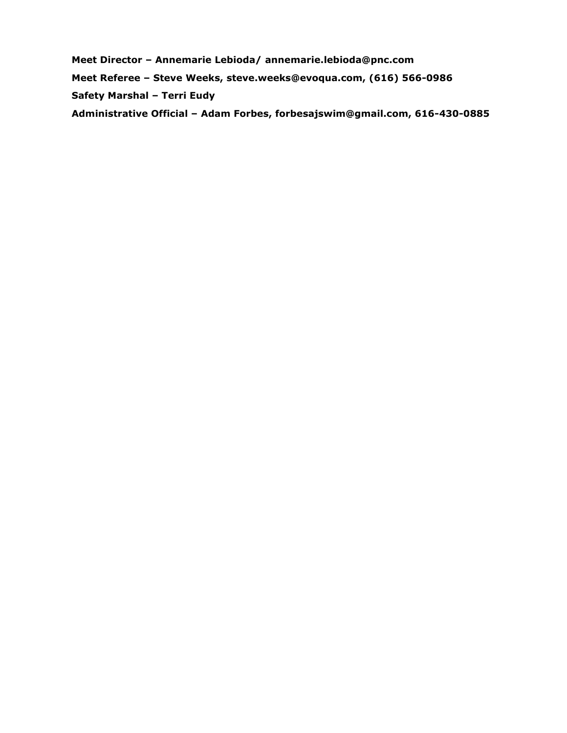**Meet Director – Annemarie Lebioda/ annemarie.lebioda@pnc.com Meet Referee – Steve Weeks, steve.weeks@evoqua.com, (616) 566-0986 Safety Marshal – Terri Eudy Administrative Official – Adam Forbes, forbesajswim@gmail.com, 616-430-0885**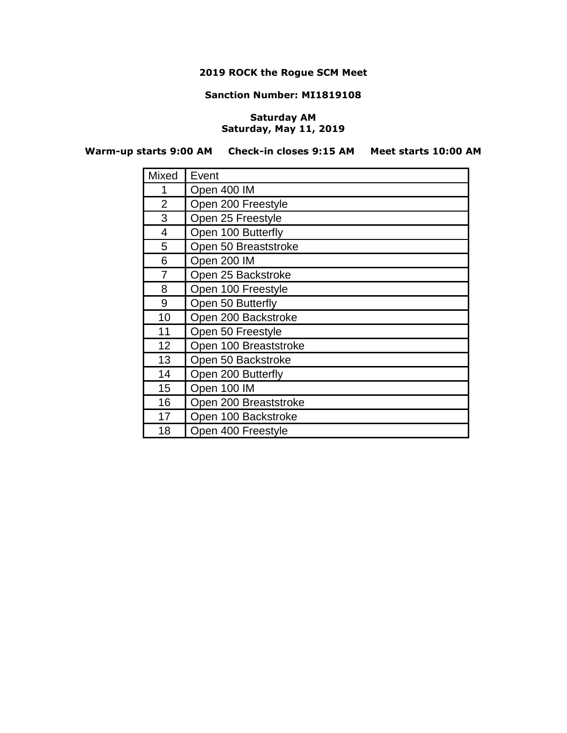# **2019 ROCK the Rogue SCM Meet**

#### **Sanction Number: MI1819108**

## **Saturday AM Saturday, May 11, 2019**

**Warm-up starts 9:00 AM Check-in closes 9:15 AM Meet starts 10:00 AM**

| Mixed          | Event                 |
|----------------|-----------------------|
| 1              | Open 400 IM           |
| $\overline{2}$ | Open 200 Freestyle    |
| 3              | Open 25 Freestyle     |
| 4              | Open 100 Butterfly    |
| 5              | Open 50 Breaststroke  |
| 6              | Open 200 IM           |
| 7              | Open 25 Backstroke    |
| 8              | Open 100 Freestyle    |
| 9              | Open 50 Butterfly     |
| 10             | Open 200 Backstroke   |
| 11             | Open 50 Freestyle     |
| 12             | Open 100 Breaststroke |
| 13             | Open 50 Backstroke    |
| 14             | Open 200 Butterfly    |
| 15             | Open 100 IM           |
| 16             | Open 200 Breaststroke |
| 17             | Open 100 Backstroke   |
| 18             | Open 400 Freestyle    |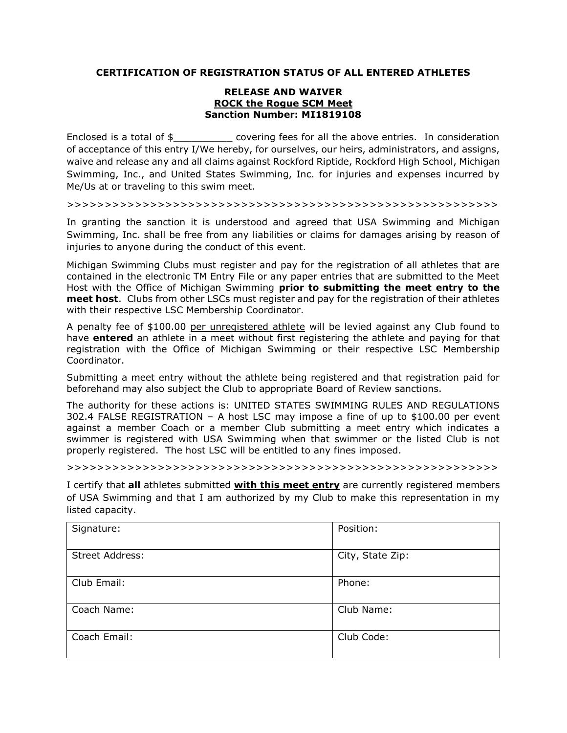#### **CERTIFICATION OF REGISTRATION STATUS OF ALL ENTERED ATHLETES**

#### **RELEASE AND WAIVER ROCK the Rogue SCM Meet Sanction Number: MI1819108**

Enclosed is a total of \$\_\_\_\_\_\_\_\_\_\_\_\_ covering fees for all the above entries. In consideration of acceptance of this entry I/We hereby, for ourselves, our heirs, administrators, and assigns, waive and release any and all claims against Rockford Riptide, Rockford High School, Michigan Swimming, Inc., and United States Swimming, Inc. for injuries and expenses incurred by Me/Us at or traveling to this swim meet.

>>>>>>>>>>>>>>>>>>>>>>>>>>>>>>>>>>>>>>>>>>>>>>>>>>>>>>>>>

In granting the sanction it is understood and agreed that USA Swimming and Michigan Swimming, Inc. shall be free from any liabilities or claims for damages arising by reason of injuries to anyone during the conduct of this event.

Michigan Swimming Clubs must register and pay for the registration of all athletes that are contained in the electronic TM Entry File or any paper entries that are submitted to the Meet Host with the Office of Michigan Swimming **prior to submitting the meet entry to the meet host**. Clubs from other LSCs must register and pay for the registration of their athletes with their respective LSC Membership Coordinator.

A penalty fee of \$100.00 per unregistered athlete will be levied against any Club found to have **entered** an athlete in a meet without first registering the athlete and paying for that registration with the Office of Michigan Swimming or their respective LSC Membership Coordinator.

Submitting a meet entry without the athlete being registered and that registration paid for beforehand may also subject the Club to appropriate Board of Review sanctions.

The authority for these actions is: UNITED STATES SWIMMING RULES AND REGULATIONS 302.4 FALSE REGISTRATION – A host LSC may impose a fine of up to \$100.00 per event against a member Coach or a member Club submitting a meet entry which indicates a swimmer is registered with USA Swimming when that swimmer or the listed Club is not properly registered. The host LSC will be entitled to any fines imposed.

>>>>>>>>>>>>>>>>>>>>>>>>>>>>>>>>>>>>>>>>>>>>>>>>>>>>>>>>>

I certify that **all** athletes submitted **with this meet entry** are currently registered members of USA Swimming and that I am authorized by my Club to make this representation in my listed capacity.

| Signature:      | Position:        |
|-----------------|------------------|
| Street Address: | City, State Zip: |
| Club Email:     | Phone:           |
| Coach Name:     | Club Name:       |
| Coach Email:    | Club Code:       |